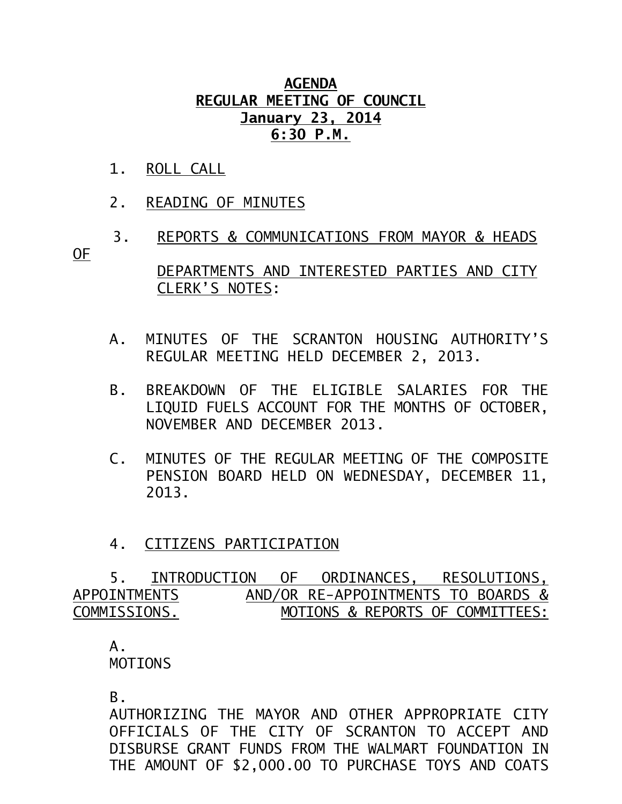## **AGENDA REGULAR MEETING OF COUNCIL January 23, 2014 6:30 P.M.**

- 1. ROLL CALL
- 2. READING OF MINUTES
- 3. REPORTS & COMMUNICATIONS FROM MAYOR & HEADS OF

 DEPARTMENTS AND INTERESTED PARTIES AND CITY CLERK'S NOTES:

- A. MINUTES OF THE SCRANTON HOUSING AUTHORITY'S REGULAR MEETING HELD DECEMBER 2, 2013.
- B. BREAKDOWN OF THE ELIGIBLE SALARIES FOR THE LIQUID FUELS ACCOUNT FOR THE MONTHS OF OCTOBER, NOVEMBER AND DECEMBER 2013.
- C. MINUTES OF THE REGULAR MEETING OF THE COMPOSITE PENSION BOARD HELD ON WEDNESDAY, DECEMBER 11, 2013.
- 4. CITIZENS PARTICIPATION

 5. INTRODUCTION OF ORDINANCES, RESOLUTIONS, APPOINTMENTSAND/OR RE-APPOINTMENTS TO BOARDS & COMMISSIONS. MOTIONS & REPORTS OF COMMITTEES:

## A. MOTIONS

B.

AUTHORIZING THE MAYOR AND OTHER APPROPRIATE CITY OFFICIALS OF THE CITY OF SCRANTON TO ACCEPT AND DISBURSE GRANT FUNDS FROM THE WALMART FOUNDATION IN THE AMOUNT OF \$2,000.00 TO PURCHASE TOYS AND COATS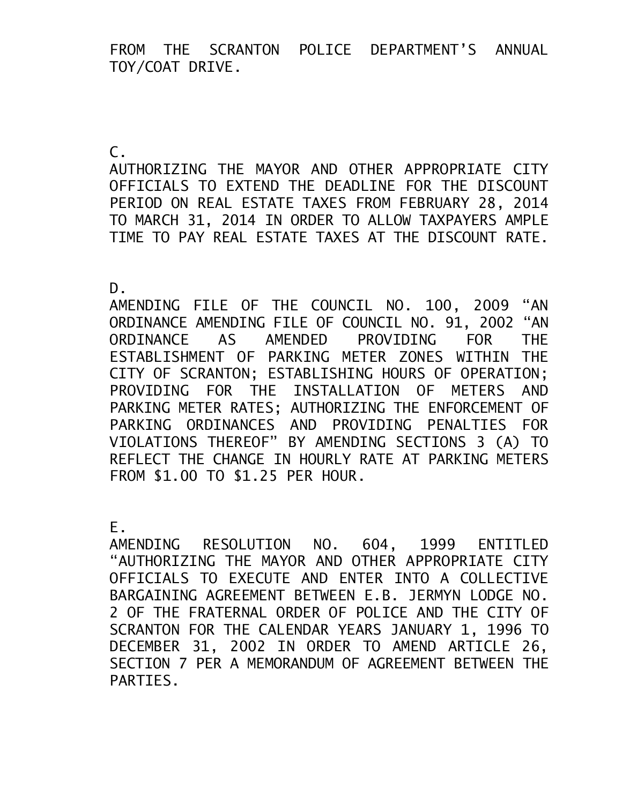FROM THE SCRANTON POLICE DEPARTMENT'S ANNUAL TOY/COAT DRIVE.

 $\mathsf{C}$ .

AUTHORIZING THE MAYOR AND OTHER APPROPRIATE CITY OFFICIALS TO EXTEND THE DEADLINE FOR THE DISCOUNT PERIOD ON REAL ESTATE TAXES FROM FEBRUARY 28, 2014 TO MARCH 31, 2014 IN ORDER TO ALLOW TAXPAYERS AMPLE TIME TO PAY REAL ESTATE TAXES AT THE DISCOUNT RATE.

D.

AMENDING FILE OF THE COUNCIL NO. 100, 2009 "AN ORDINANCE AMENDING FILE OF COUNCIL NO. 91, 2002 "AN ORDINANCE AS AMENDED PROVIDING FOR THE ESTABLISHMENT OF PARKING METER ZONES WITHIN THE CITY OF SCRANTON; ESTABLISHING HOURS OF OPERATION; PROVIDING FOR THE INSTALLATION OF METERS AND PARKING METER RATES; AUTHORIZING THE ENFORCEMENT OF PARKING ORDINANCES AND PROVIDING PENALTIES FOR VIOLATIONS THEREOF" BY AMENDING SECTIONS 3 (A) TO REFLECT THE CHANGE IN HOURLY RATE AT PARKING METERS FROM \$1.00 TO \$1.25 PER HOUR.

E.<br>AMENDING RESOLUTION NO. 604, 1999 ENTITLED "AUTHORIZING THE MAYOR AND OTHER APPROPRIATE CITY OFFICIALS TO EXECUTE AND ENTER INTO A COLLECTIVE BARGAINING AGREEMENT BETWEEN E.B. JERMYN LODGE NO. 2 OF THE FRATERNAL ORDER OF POLICE AND THE CITY OF SCRANTON FOR THE CALENDAR YEARS JANUARY 1, 1996 TO DECEMBER 31, 2002 IN ORDER TO AMEND ARTICLE 26, SECTION 7 PER A MEMORANDUM OF AGREEMENT BETWEEN THE PARTIES.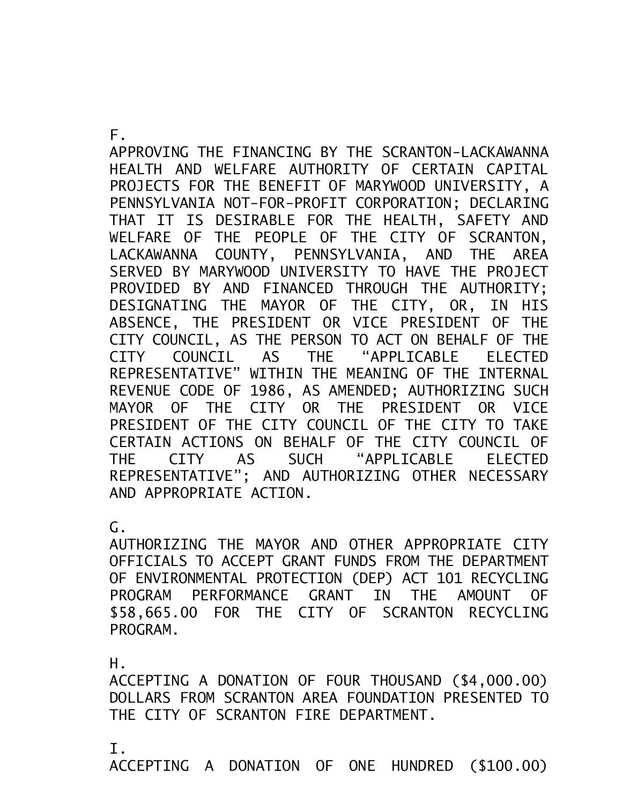F.

APPROVING THE FINANCING BY THE SCRANTON-LACKAWANNA HEALTH AND WELFARE AUTHORITY OF CERTAIN CAPITAL PROJECTS FOR THE BENEFIT OF MARYWOOD UNIVERSITY, A PENNSYLVANIA NOT-FOR-PROFIT CORPORATION; DECLARING THAT IT IS DESIRABLE FOR THE HEALTH, SAFETY AND WELFARE OF THE PEOPLE OF THE CITY OF SCRANTON, LACKAWANNA COUNTY, PENNSYLVANIA, AND THE AREA SERVED BY MARYWOOD UNIVERSITY TO HAVE THE PROJECT PROVIDED BY AND FINANCED THROUGH THE AUTHORITY; DESIGNATING THE MAYOR OF THE CITY, OR, IN HIS ABSENCE, THE PRESIDENT OR VICE PRESIDENT OF THE CITY COUNCIL, AS THE PERSON TO ACT ON BEHALF OF THE CITY COUNCIL AS THE "APPLICABLE ELECTED REPRESENTATIVE" WITHIN THE MEANING OF THE INTERNAL REVENUE CODE OF 1986, AS AMENDED; AUTHORIZING SUCH MAYOR OF THE CITY OR THE PRESIDENT OR VICE PRESIDENT OF THE CITY COUNCIL OF THE CITY TO TAKE CERTAIN ACTIONS ON BEHALF OF THE CITY COUNCIL OF THE CITY AS SUCH "APPLICABLE ELECTED REPRESENTATIVE"; AND AUTHORIZING OTHER NECESSARY AND APPROPRIATE ACTION.

 $\mathsf{G}\,$ .

AUTHORIZING THE MAYOR AND OTHER APPROPRIATE CITY OFFICIALS TO ACCEPT GRANT FUNDS FROM THE DEPARTMENT OF ENVIRONMENTAL PROTECTION (DEP) ACT 101 RECYCLING PROGRAM PERFORMANCE GRANT IN THE AMOUNT OF \$58,665.00 FOR THE CITY OF SCRANTON RECYCLING PROGRAM.

H.

ACCEPTING A DONATION OF FOUR THOUSAND (\$4,000.00) DOLLARS FROM SCRANTON AREA FOUNDATION PRESENTED TO THE CITY OF SCRANTON FIRE DEPARTMENT.

I.

ACCEPTING A DONATION OF ONE HUNDRED (\$100.00)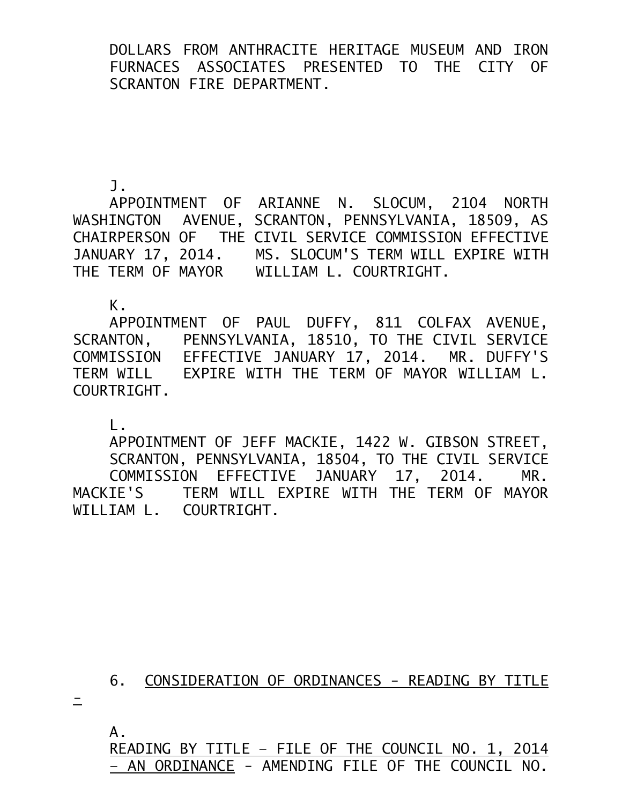DOLLARS FROM ANTHRACITE HERITAGE MUSEUM AND IRON FURNACES ASSOCIATES PRESENTED TO THE CITY OF SCRANTON FIRE DEPARTMENT.

J.

APPOINTMENT OF ARIANNE N. SLOCUM, 2104 NORTH WASHINGTON AVENUE, SCRANTON, PENNSYLVANIA, 18509, AS CHAIRPERSON OF THE CIVIL SERVICE COMMISSION EFFECTIVE JANUARY 17, 2014. MS. SLOCUM'S TERM WILL EXPIRE WITH THE TERM OF MAYOR WILLIAM L. COURTRIGHT.

K.

APPOINTMENT OF PAUL DUFFY, 811 COLFAX AVENUE, SCRANTON, PENNSYLVANIA, 18510, TO THE CIVIL SERVICE COMMISSION EFFECTIVE JANUARY 17, 2014. MR. DUFFY'S TERM WILL EXPIRE WITH THE TERM OF MAYOR WILLIAM L. COURTRIGHT.

L.

APPOINTMENT OF JEFF MACKIE, 1422 W. GIBSON STREET, SCRANTON, PENNSYLVANIA, 18504, TO THE CIVIL SERVICE COMMISSION EFFECTIVE JANUARY 17, 2014. MR. MACKIE'S TERM WILL EXPIRE WITH THE TERM OF MAYOR WILLIAM L. COURTRIGHT.

6. CONSIDERATION OF ORDINANCES - READING BY TITLE

 $\equiv$ 

 A. READING BY TITLE – FILE OF THE COUNCIL NO. 1, 2014 – AN ORDINANCE - AMENDING FILE OF THE COUNCIL NO.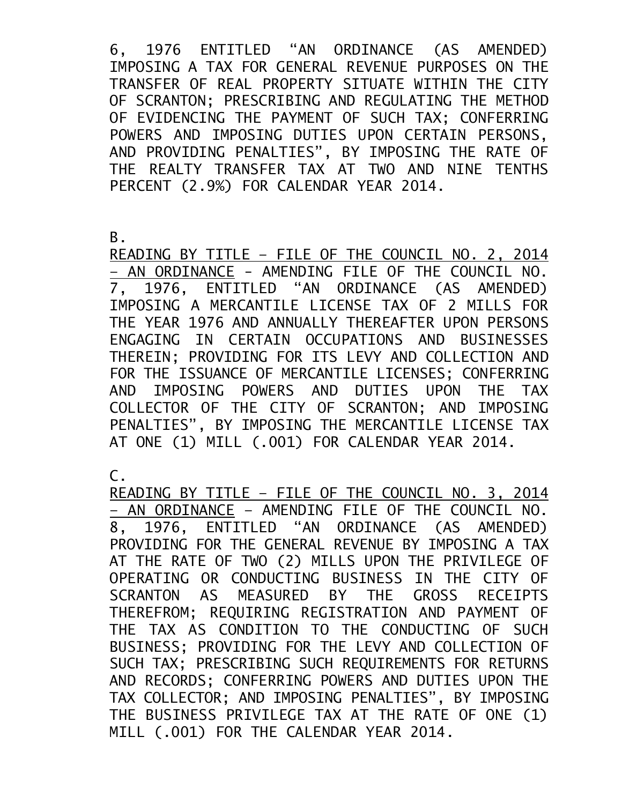6, 1976 ENTITLED "AN ORDINANCE (AS AMENDED) IMPOSING A TAX FOR GENERAL REVENUE PURPOSES ON THE TRANSFER OF REAL PROPERTY SITUATE WITHIN THE CITY OF SCRANTON; PRESCRIBING AND REGULATING THE METHOD OF EVIDENCING THE PAYMENT OF SUCH TAX; CONFERRING POWERS AND IMPOSING DUTIES UPON CERTAIN PERSONS, AND PROVIDING PENALTIES", BY IMPOSING THE RATE OF THE REALTY TRANSFER TAX AT TWO AND NINE TENTHS PERCENT (2.9%) FOR CALENDAR YEAR 2014.

B.

READING BY TITLE – FILE OF THE COUNCIL NO. 2, 2014 – AN ORDINANCE - AMENDING FILE OF THE COUNCIL NO. 7, 1976, ENTITLED "AN ORDINANCE (AS AMENDED) IMPOSING A MERCANTILE LICENSE TAX OF 2 MILLS FOR THE YEAR 1976 AND ANNUALLY THEREAFTER UPON PERSONS ENGAGING IN CERTAIN OCCUPATIONS AND BUSINESSES THEREIN; PROVIDING FOR ITS LEVY AND COLLECTION AND FOR THE ISSUANCE OF MERCANTILE LICENSES; CONFERRING AND IMPOSING POWERS AND DUTIES UPON THE TAX COLLECTOR OF THE CITY OF SCRANTON; AND IMPOSING PENALTIES", BY IMPOSING THE MERCANTILE LICENSE TAX AT ONE (1) MILL (.001) FOR CALENDAR YEAR 2014.

C.

READING BY TITLE – FILE OF THE COUNCIL NO. 3, 2014 – AN ORDINANCE – AMENDING FILE OF THE COUNCIL NO. 8, 1976, ENTITLED "AN ORDINANCE (AS AMENDED) PROVIDING FOR THE GENERAL REVENUE BY IMPOSING A TAX AT THE RATE OF TWO (2) MILLS UPON THE PRIVILEGE OF OPERATING OR CONDUCTING BUSINESS IN THE CITY OF SCRANTON AS MEASURED BY THE GROSS RECEIPTS THEREFROM; REQUIRING REGISTRATION AND PAYMENT OF THE TAX AS CONDITION TO THE CONDUCTING OF SUCH BUSINESS; PROVIDING FOR THE LEVY AND COLLECTION OF SUCH TAX; PRESCRIBING SUCH REQUIREMENTS FOR RETURNS AND RECORDS; CONFERRING POWERS AND DUTIES UPON THE TAX COLLECTOR; AND IMPOSING PENALTIES", BY IMPOSING THE BUSINESS PRIVILEGE TAX AT THE RATE OF ONE (1) MILL (.001) FOR THE CALENDAR YEAR 2014.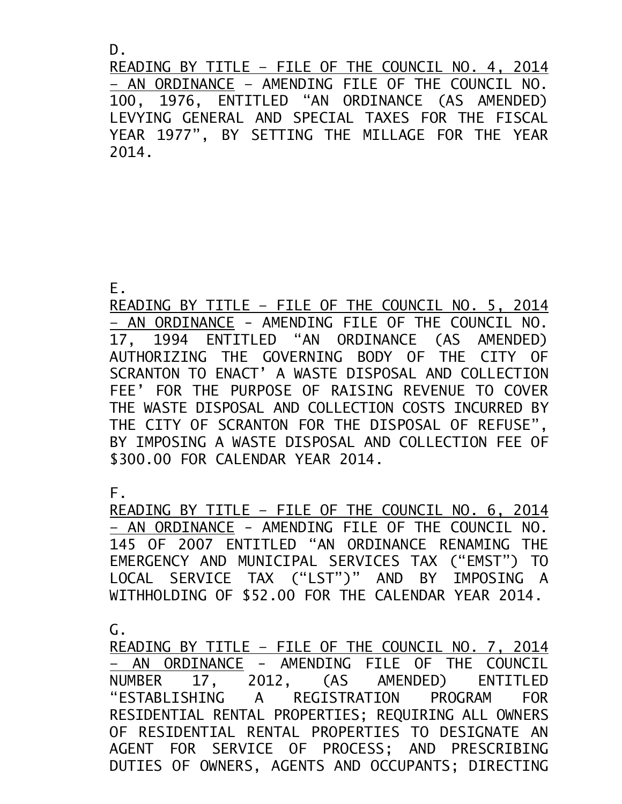D.

READING BY TITLE – FILE OF THE COUNCIL NO. 4, 2014 – AN ORDINANCE – AMENDING FILE OF THE COUNCIL NO. 100, 1976, ENTITLED "AN ORDINANCE (AS AMENDED) LEVYING GENERAL AND SPECIAL TAXES FOR THE FISCAL YEAR 1977", BY SETTING THE MILLAGE FOR THE YEAR 2014.

E.

READING BY TITLE – FILE OF THE COUNCIL NO. 5, 2014 – AN ORDINANCE - AMENDING FILE OF THE COUNCIL NO. 17, 1994 ENTITLED "AN ORDINANCE (AS AMENDED) AUTHORIZING THE GOVERNING BODY OF THE CITY OF SCRANTON TO ENACT' A WASTE DISPOSAL AND COLLECTION FEE' FOR THE PURPOSE OF RAISING REVENUE TO COVER THE WASTE DISPOSAL AND COLLECTION COSTS INCURRED BY THE CITY OF SCRANTON FOR THE DISPOSAL OF REFUSE", BY IMPOSING A WASTE DISPOSAL AND COLLECTION FEE OF \$300.00 FOR CALENDAR YEAR 2014.

F.

READING BY TITLE – FILE OF THE COUNCIL NO. 6, 2014 – AN ORDINANCE - AMENDING FILE OF THE COUNCIL NO. 145 OF 2007 ENTITLED "AN ORDINANCE RENAMING THE EMERGENCY AND MUNICIPAL SERVICES TAX ("EMST") TO LOCAL SERVICE TAX ("LST")" AND BY IMPOSING A WITHHOLDING OF \$52.00 FOR THE CALENDAR YEAR 2014.

G.

READING BY TITLE – FILE OF THE COUNCIL NO. 7, 2014 – AN ORDINANCE - AMENDING FILE OF THE COUNCIL NUMBER 17, 2012, (AS AMENDED) ENTITLED "ESTABLISHING A REGISTRATION PROGRAM FOR RESIDENTIAL RENTAL PROPERTIES; REQUIRING ALL OWNERS OF RESIDENTIAL RENTAL PROPERTIES TO DESIGNATE AN AGENT FOR SERVICE OF PROCESS; AND PRESCRIBING DUTIES OF OWNERS, AGENTS AND OCCUPANTS; DIRECTING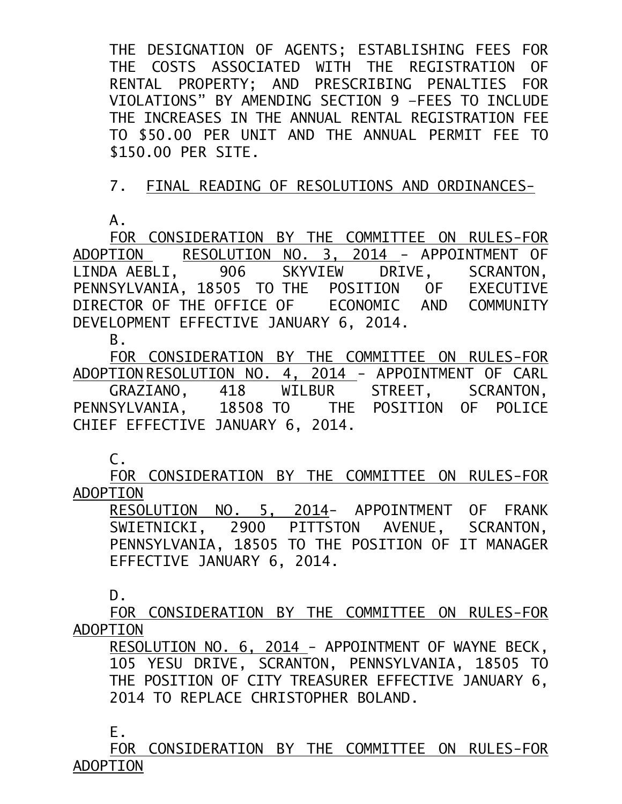THE DESIGNATION OF AGENTS; ESTABLISHING FEES FOR THE COSTS ASSOCIATED WITH THE REGISTRATION OF RENTAL PROPERTY; AND PRESCRIBING PENALTIES FOR VIOLATIONS" BY AMENDING SECTION 9 –FEES TO INCLUDE THE INCREASES IN THE ANNUAL RENTAL REGISTRATION FEE TO \$50.00 PER UNIT AND THE ANNUAL PERMIT FEE TO \$150.00 PER SITE.

## 7. FINAL READING OF RESOLUTIONS AND ORDINANCES-

A.

FOR CONSIDERATION BY THE COMMITTEE ON RULES-FOR ADOPTION RESOLUTION NO. 3, 2014 - APPOINTMENT OF LINDA AEBLI, 906 SKYVIEW DRIVE, SCRANTON, PENNSYLVANIA, 18505 TO THE POSITION OF EXECUTIVE DIRECTOR OF THE OFFICE OF ECONOMIC AND COMMUNITY DEVELOPMENT EFFECTIVE JANUARY 6, 2014.

B.

FOR CONSIDERATION BY THE COMMITTEE ON RULES-FOR ADOPTION RESOLUTION NO. 4, 2014 - APPOINTMENT OF CARL GRAZIANO, 418 WILBUR STREET, SCRANTON, PENNSYLVANIA, 18508 TO THE POSITION OF POLICE CHIEF EFFECTIVE JANUARY 6, 2014.

C.

FOR CONSIDERATION BY THE COMMITTEE ON RULES-FOR ADOPTION

RESOLUTION NO. 5, 2014- APPOINTMENT OF FRANK SWIETNICKI, 2900 PITTSTON AVENUE, SCRANTON, PENNSYLVANIA, 18505 TO THE POSITION OF IT MANAGER EFFECTIVE JANUARY 6, 2014.

D.

FOR CONSIDERATION BY THE COMMITTEE ON RULES-FOR ADOPTION

RESOLUTION NO. 6, 2014 - APPOINTMENT OF WAYNE BECK, 105 YESU DRIVE, SCRANTON, PENNSYLVANIA, 18505 TO THE POSITION OF CITY TREASURER EFFECTIVE JANUARY 6, 2014 TO REPLACE CHRISTOPHER BOLAND.

E.

FOR CONSIDERATION BY THE COMMITTEE ON RULES-FOR ADOPTION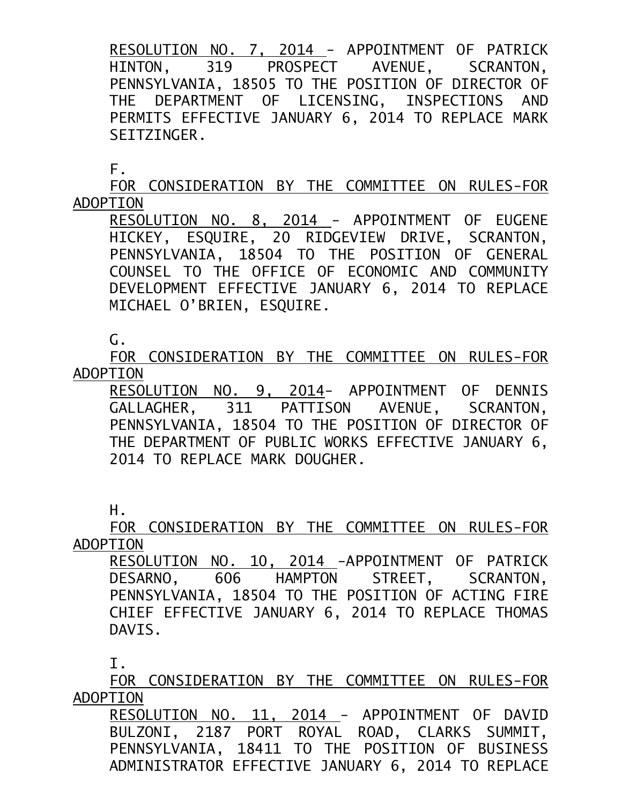RESOLUTION NO. 7, 2014 - APPOINTMENT OF PATRICK HINTON, 319 PROSPECT AVENUE, SCRANTON, PENNSYLVANIA, 18505 TO THE POSITION OF DIRECTOR OF THE DEPARTMENT OF LICENSING, INSPECTIONS AND PERMITS EFFECTIVE JANUARY 6, 2014 TO REPLACE MARK SEITZINGER.

F.

FOR CONSIDERATION BY THE COMMITTEE ON RULES-FOR ADOPTION

RESOLUTION NO. 8, 2014 - APPOINTMENT OF EUGENE HICKEY, ESQUIRE, 20 RIDGEVIEW DRIVE, SCRANTON, PENNSYLVANIA, 18504 TO THE POSITION OF GENERAL COUNSEL TO THE OFFICE OF ECONOMIC AND COMMUNITY DEVELOPMENT EFFECTIVE JANUARY 6, 2014 TO REPLACE MICHAEL O'BRIEN, ESQUIRE.

G.

FOR CONSIDERATION BY THE COMMITTEE ON RULES-FOR ADOPTION

RESOLUTION NO. 9, 2014- APPOINTMENT OF DENNIS GALLAGHER, 311 PATTISON AVENUE, SCRANTON, PENNSYLVANIA, 18504 TO THE POSITION OF DIRECTOR OF THE DEPARTMENT OF PUBLIC WORKS EFFECTIVE JANUARY 6, 2014 TO REPLACE MARK DOUGHER.

H.

FOR CONSIDERATION BY THE COMMITTEE ON RULES-FOR ADOPTION

RESOLUTION NO. 10, 2014 - APPOINTMENT OF PATRICK DESARNO, 606 HAMPTON STREET, SCRANTON, PENNSYLVANIA, 18504 TO THE POSITION OF ACTING FIRE CHIEF EFFECTIVE JANUARY 6, 2014 TO REPLACE THOMAS DAVIS.

I.

FOR CONSIDERATION BY THE COMMITTEE ON RULES-FOR ADOPTION

RESOLUTION NO. 11, 2014 - APPOINTMENT OF DAVID BULZONI, 2187 PORT ROYAL ROAD, CLARKS SUMMIT, PENNSYLVANIA, 18411 TO THE POSITION OF BUSINESS ADMINISTRATOR EFFECTIVE JANUARY 6, 2014 TO REPLACE